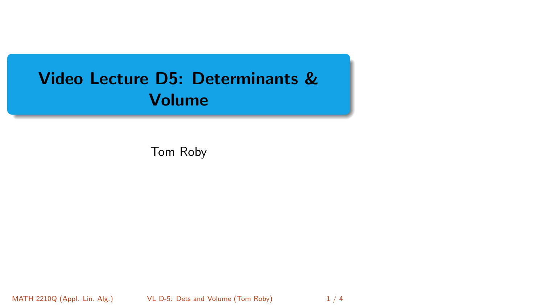# <span id="page-0-0"></span>Video Lecture D5: Determinants & Volume

Tom Roby

MATH 2210Q (Appl. Lin. Alg.) [VL D-5: Dets and Volume](#page-3-0) (Tom Roby) 1/4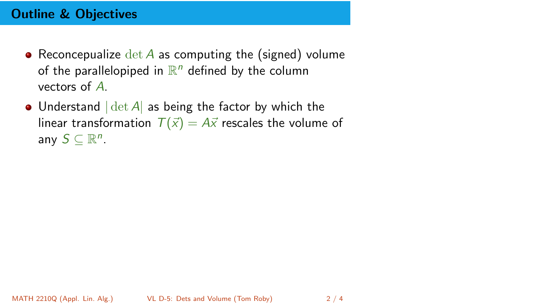## Outline & Objectives

- Reconcepualize  $\det A$  as computing the (signed) volume of the parallelopiped in  $\mathbb{R}^n$  defined by the column vectors of A.
- Understand  $|\det A|$  as being the factor by which the linear transformation  $T(\vec{x}) = A\vec{x}$  rescales the volume of any  $S \subseteq \mathbb{R}^n$ .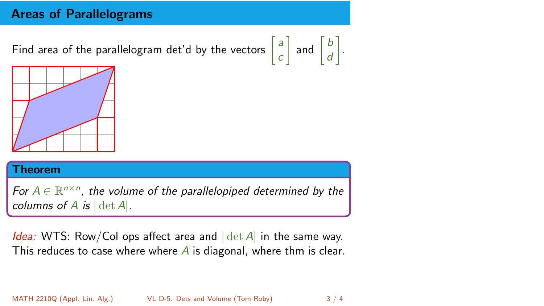## Areas of Parallelograms

Find area of the parallelogram det'd by the vectors

$$
\begin{bmatrix} a \\ c \end{bmatrix}
$$
 and 
$$
\begin{bmatrix} b \\ d \end{bmatrix}
$$
.



#### Theorem

For  $A \in \mathbb{R}^{n \times n}$ , the volume of the parallelopiped determined by the columns of A is  $|\det A|$ .

*Idea:* WTS: Row/Col ops affect area and  $|\det A|$  in the same way. This reduces to case where where  $\overline{A}$  is diagonal, where thm is clear.